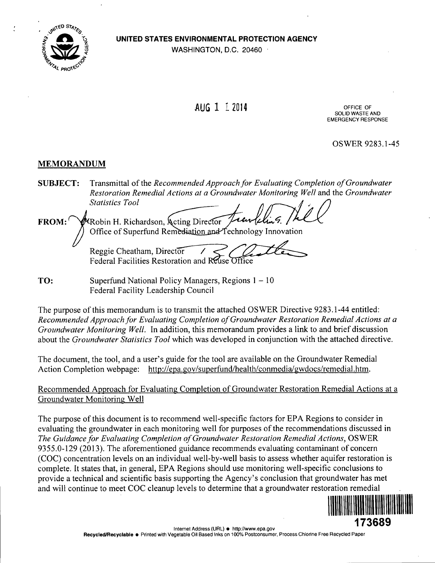**•/ UNITED STATES ENVIRONMENTAL PROTECTION AGENCY** 

WASHINGTON, D.C. 20460



# AUG 1 1 2014

SOLID WASTE AND EMERGENCY RESPONSE

OSWER 9283.1-45

# **MEMORANDUM**

*SUBJECT: Transmittal of the Recommended Approach for Evaluating Completion of Groundwater Restoration Remedial Actions at a Groundwater Monitoring Well and the Groundwater Statistics Tool* 

**FROM:** WRobin H. Richardson, Acting Director Office of Superfund Remediation and Technology Innovation

Reggie Cheatham, Director Federal Facilities Restoration and Reuse Office

**TO:** Superfund National Policy Managers, Regions 1 – 10 Federal Facility Leadership Council

The purpose of this memorandum is to transmit the attached OSWER Directive 9283.1-44 entitled: Recommended Approach for Evaluating Completion of Groundwater Restoration Remedial Actions at a Groundwater Monitoring Well. In addition, this memorandum provides a link to and brief discussion about the *Groundwater Statistics Tool* which was developed in conjunction with the attached directive.

The document, the tool, and a user's guide for the tool are available on the Groundwater Remedial Action Completion webpage: http://epa.gov/superfund/health/conmedia/gwdocs/remedial.htm.

Recommended Approach for Evaluating Completion of Groundwater Restoration Remedial Actions at a Groundwater Monitoring Well

The purpose of this document is to recommend well-specific factors for EPA Regions to consider in evaluating the groundwater in each monitoring well for purposes of the recommendations discussed in The Guidance for Evaluating Completion of Groundwater Restoration Remedial Actions, OSWER 9355.0-129 (2013). The aforementioned guidance recommends evaluating contaminant of concern (COC) concentration levels on an individual well-by-well basis to assess whether aquifer restoration is complete. It states that, in general, EPA Regions should use monitoring well-specific conclusions to provide a technical and scientific basis supporting the Agency's conclusion that groundwater has met and will continue to meet COC cleanup levels to determine that a groundwater restoration remedial

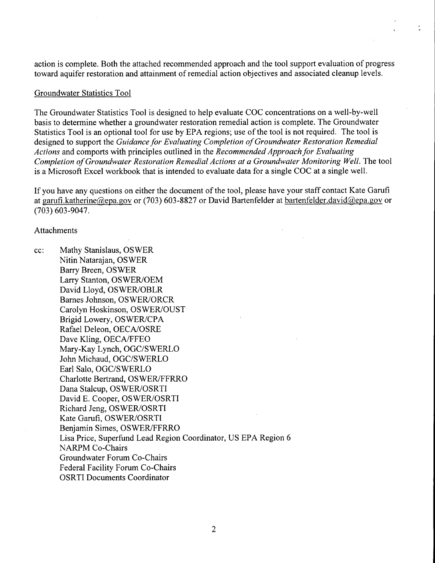action is complete. Both the attached recommended approach and the tool support evaluation of progress toward aquifer restoration and attainment of remedial action objectives and associated cleanup levels.

#### Groundwater Statistics Tool

The Groundwater Statistics Tool is designed to help evaluate COG concentrations on a well-by-well basis to determine whether a groundwater restoration remedial action is complete. The Groundwater Statistics Tool is an optional tool for use by EPA regions; use of the tool is not required. The tool is designed to support the Guidance for Evaluating Completion of Groundwater Restoration Remedial Actions and comports with principles outlined in the Recommended Approach for Evaluating Completion of Groundwater Restoration Remedial Actions at a Groundwater Monitoring Well. The tool is a Microsoft Excel workbook that is intended to evaluate data for a single COG at a single well.

If you have any questions on either the document of the tool, please have your staff contact Kate Garufi at garufi.katherine@epa.gov or (703) 603-8827 or David Bartenfelder at bartenfelder.david@epa.gov or (703) 603-9047.

#### **Attachments**

cc: Mathy Stanislaus, OSWER Nitin Natarajan, OSWER Barry Breen, OSWER Larry Stanton, OSWER/OEM David Lloyd, OSWER/OBLR Barnes Johnson, OSWER/ORGR Garolyn Hoskinson, OSWER/OUST Brigid Lowery, OSWER/GFA Rafael Deleon, OEGA/OSRE Dave Kling, OEGA/FFEO Mary-Kay Lynch, OGG/SWERLO John Michaud, OGC/SWERLO Earl Salo, OGG/SWERLO Gharlotte Bertrand, OSWER/FFRRO Dana Stalcup, OSWER/OSRTI David E. Gooper, OSWER/OSRTI Richard Jeng, OSWER/OSRTI Kate Garufi, OSWER/OSRTI Benjamin Simes, OSWER/FFRRO Lisa Price, Superfund Lead Region Goordinator, US EPA Region 6 NARPM Go-Ghairs Groundwater Forum Go-Ghairs Federal Facility Forum Go-Ghairs OSRTI Documents Goordinator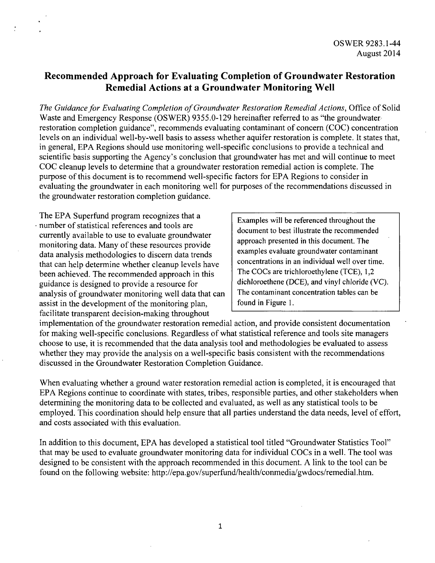# **Recommended Approach for Evaluating Completion of Groundwater Restoration Remedial Actions at a Groundwater Monitoring Well**

The Guidance for Evaluating Completion of Groundwater Restoration Remedial Actions, Office of Solid Waste and Emergency Response (OSWER) 9355.0-129 hereinafter referred to as "the groundwater restoration completion guidance", recommends evaluating contaminant of concern (COC) concentration levels on an individual well-by-well basis to assess whether aquifer restoration is complete. It states that, in general, EPA Regions should use monitoring well-specific conclusions to provide a technical and scientific basis supporting the Agency's conclusion that groundwater has met and will continue to meet COC cleanup levels to determine that a groundwater restoration remedial action is complete. The purpose of this document is to recommend well-specific factors for EPA Regions to consider in evaluating the groundwater in each monitoring well for purposes of the recommendations discussed in the groundwater restoration completion guidance.

The EPA Superfund program recognizes that a number of statistical references and tools are currently available to use to evaluate groundwater monitoring data. Many of these resources provide data analysis methodologies to discern data trends that can help determine whether cleanup levels have been achieved. The recommended approach in this guidance is designed to provide a resource for analysis of groundwater monitoring well data that can assist in the development of the monitoring plan, facilitate transparent decision-making throughout

Examples will be referenced throughout the document to best illustrate the recommended approach presented in this document. The examples evaluate groundwater contaminant concentrations in an individual well over time. The COCs are trichloroethylene (TCE), 1,2 dichloroethene (DCE), and vinyl chloride (VC). The contaminant concentration tables can be found in Figure 1.

implementation of the groundwater restoration remedial action, and provide consistent documentation for making well-specific conclusions. Regardless of what statistical reference and tools site managers choose to use, it is recommended that the data analysis tool and methodologies be evaluated to assess whether they may provide the analysis on a well-specific basis consistent with the recommendations discussed in the Groundwater Restoration Completion Guidance.

When evaluating whether a ground water restoration remedial action is completed, it is encouraged that EPA Regions continue to coordinate with states, tribes, responsible parties, and other stakeholders when determining the monitoring data to be collected and evaluated, as well as any statistical tools to be employed. This coordination should help ensure that all parties understand the data needs, level of effort, and costs associated with this evaluation.

In addition to this document, EPA has developed a statistical tool titled "Groundwater Statistics Tool" that may be used to evaluate groundwater monitoring data for individual COCs in a well. The tool was designed to be consistent with the approach recommended in this document. A link to the tool can be found on the following website: [http://epa.gov/superfund/health/conmedia/gwdocs/remedial.htm.](http://epa.gov/superfund/health/conmedia/gwdocs/remedial.htm)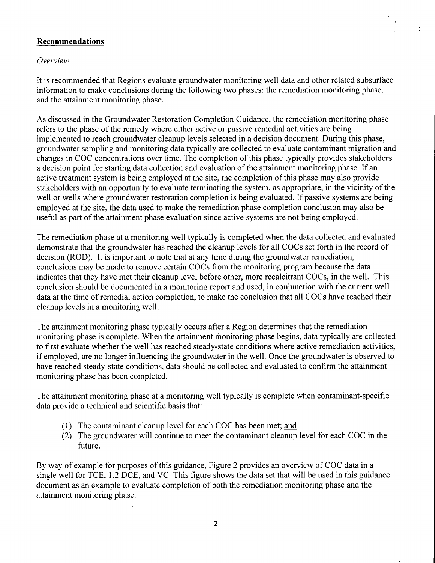# **Recommendations**

#### *Ch'erview*

It is recommended that Regions evaluate groundwater monitoring well data and other related subsurface information to make conclusions during the following two phases: the remediation monitoring phase, and the attainment monitoring phase.

As discussed in the Groundwater Restoration Completion Guidance, the remediation monitoring phase refers to the phase of the remedy where either active or passive remedial activities are being implemented to reach groundwater cleanup levels selected in a decision document. During this phase, groundwater sampling and monitoring data typically are collected to evaluate contaminant migration and changes in COG concentrations over time. The completion of this phase typically provides stakeholders a decision point for starting data collection and evaluation of the attainment monitoring phase. If an active treatment system is being employed at the site, the completion of this phase may also provide stakeholders with an opportunity to evaluate terminating the system, as appropriate, in the vicinity of the well or wells where groundwater restoration completion is being evaluated. If passive systems are being employed at the site, the data used to make the remediation phase completion conclusion may also be useful as part of the attainment phase evaluation since active systems are not being employed.

The remediation phase at a monitoring well typically is completed when the data collected and evaluated demonstrate that the groundwater has reached the cleanup levels for all COCs set forth in the record of decision (ROD). It is important to note that at any time during the groundwater remediation, conclusions may be made to remove certain COCs from the monitoring program because the data indicates that they have met their cleanup level before other, more recalcitrant COCs, in the well. This conclusion should be documented in a monitoring report and used, in conjunction with the current well data at the time of remedial action completion, to make the conclusion that all COCs have reached their cleanup levels in a monitoring well.

The attainment monitoring phase typically occurs after a Region determines that the remediation monitoring phase is complete. When the attainment monitoring phase begins, data typically are collected to first evaluate whether the well has reached steady-state conditions where active remediation activities, if employed, are no longer influencing the groundwater in the well. Once the groundwater is observed to have reached steady-state conditions, data should be collected and evaluated to confirm the attainment monitoring phase has been completed.

The attainment monitoring phase at a monitoring well typically is complete when contaminant-specific data provide a technical and scientific basis that:

- (1) The contaminant cleanup level for each COC has been met; and
- (2) The groundwater will continue to meet the contaminant cleanup level for each COC in the future.

By way of example for purposes of this guidance. Figure 2 provides an overview of COC data in a single well for TCE, 1,2 DCE, and VC. This figure shows the data set that will be used in this guidance document as an example to evaluate completion of both the remediation monitoring phase and the attainment monitoring phase.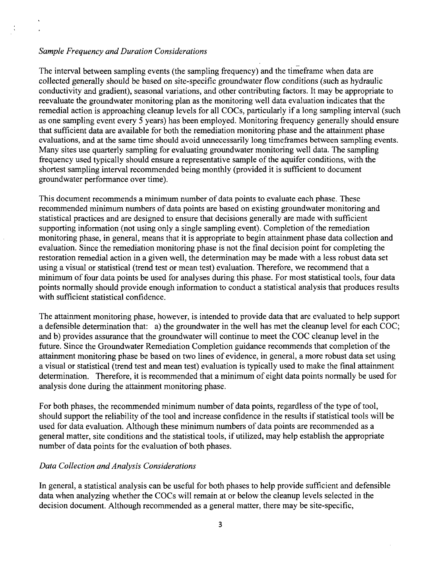#### *Sample Frequency and Duration Considerations*

The interval between sampling events (the sampling frequency) and the timeframe when data are collected generally should be based on site-specific groundwater fiow conditions (such as hydraulic conductivity and gradient), seasonal variations, and other contributing factors. It may be appropriate to reevaluate the groundwater monitoring plan as the monitoring well data evaluation indicates that the remedial action is approaching cleanup levels for all COCs, particularly if a long sampling interval (such as one sampling event every  $\frac{1}{2}$  years) has been employed. Monitoring frequency generally should ensure that sufficient data are available for both the remediation monitoring phase and the attainment phase evaluations, and at the same time should avoid unnecessarily long timeframes between sampling events. Many sites use quarterly sampling for evaluating groundwater monitoring well data. The sampling frequency used typically should ensure a representative sample of the aquifer conditions, with the shortest sampling interval recommended being monthly (provided it is sufficient to document groundwater performance over time).

This document recommends a minimum number of data points to evaluate each phase. These recommended minimum numbers of data points are based on existing groundwater monitoring and statistical practices and are designed to ensure that decisions generally are made with sufficient supporting information (not using only a single sampling event). Completion of the remediation monitoring phase, in general, means that it is appropriate to begin attainment phase data collection and evaluation. Since the remediation monitoring phase is not the final decision point for completing the restoration remedial action in a given well, the determination may be made with a less robust data set using a visual or statistical (trend test or mean test) evaluation. Therefore, we recommend that a minimum of four data points be used for analyses during this phase. For most statistical tools, four data points normally should provide enough information to conduct a statistical analysis that produces results with sufficient statistical confidence.

The attainment monitoring phase, however, is intended to provide data that are evaluated to help support a defensible determination that: a) the groundwater in the well has met the cleanup level for each COG; and b) provides assurance that the groundwater will continue to meet the COG cleanup level in the future. Since the Groundwater Remediation Completion guidance recommends that completion of the attainment monitoring phase be based on two lines of evidence, in general, a more robust data set using a visual or statistical (trend test and mean test) evaluation is typically used to make the final attainment determination. Therefore, it is recommended that a minimum of eight data points normally be used for analysis done during the attainment monitoring phase.

For both phases, the recommended minimum number of data points, regardless of the type of tool, should support the reliability of the tool and increase confidence in the results if statistical tools will be used for data evaluation. Although these minimum numbers of data points are recommended as a general matter, site conditions and the statistical tools, if utilized, may help establish the appropriate number of data points for the evaluation of both phases.

#### *Data Collection and Analysis Considerations*

In general, a statistical analysis can be useful for both phases to help provide sufficient and defensible data when analyzing whether the COCs will remain at or below the cleanup levels selected in the decision document. Although recommended as a general matter, there may be site-specific.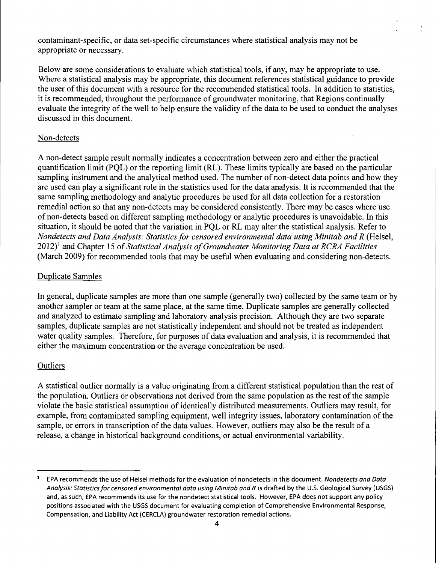contaminant-specific, or data set-specific circumstances where statistical analysis may not be appropriate or necessary.

Below are some considerations to evaluate which statistical tools, if any, may be appropriate to use. Where a statistical analysis may be appropriate, this document references statistical guidance to provide the user of this document with a resource for the recommended statistical tools. In addition to statistics, it is recommended, throughout the performance of groundwater monitoring, that Regions continually evaluate the integrity of the well to help ensure the validity of the data to be used to conduct the analyses discussed in this document.

## Non-detects

A non-detect sample result normally indicates a concentration between zero and either the practical quantification limit (PQL) or the reporting limit (RL). These limits typically are based on the particular sampling instrument and the analytical method used. The number of non-detect data points and how they are used can play a significant role in the statistics used for the data analysis. It is recommended that the same sampling methodology and analytic procedures be used for all data collection for a restoration remedial action so that any non-detects may be considered consistently. There may be cases where use of non-detects based on different sampling methodology or analytic procedures is unavoidable. In this situation, it should be noted that the variation in PQL or RL may alter the statistical analysis. Refer to Nondetects and Data Analysis: Statistics for censored environmental data using Minitab and R (Helsel,  $2012$ <sup>1</sup> and Chapter 15 of Statistical Analysis of Groundwater Monitoring Data at RCRA Facilities (March 2009) for recommended tools that may be useful when evaluating and considering non-detects.

# Duplicate Samples

In general, duplicate samples are more than one sample (generally two) collected by the same team or by another sampler or team at the same place, at the same time. Duplicate samples are generally collected and analyzed to estimate sampling and laboratory analysis precision. Although they are two separate samples, duplicate samples are not statistically independent and should not be treated as independent water quality samples. Therefore, for purposes of data evaluation and analysis, it is recommended that either the maximum concentration or the average concentration be used.

#### **Outliers**

A statistical outlier normally is a value originating from a different statistical population than the rest of the population. Outliers or observations not derived from the same population as the rest of the sample violate the basic statistical assumption of identically distributed measurements. Outliers may result, for example, from contaminated sampling equipment, well integrity issues, laboratory contamination of the sample, or errors in transcription of the data values. However, outliers may also be the result of a release, a change in historical background conditions, or actual environmental variability.

EPA recommends the use of Helsel methods for the evaluation of nondetects in this document. Nondetects and Data Analysis: Statistics for censored environmental data using Minitab and R is drafted by the U.S. Geological Survey (USGS) and, as such, EPA recommends its use for the nondetect statistical tools. However, EPA does not support any policy positions associated with the USGS document for evaluating completion of Comprehensive Environmental Response, Compensation, and Liability Act (CERCLA) groundwater restoration remedial actions.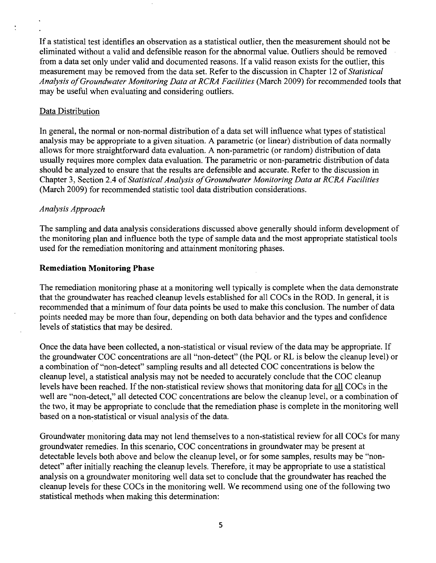If a statistical test identifies an observation as a statistical outlier, then the measurement should not be eliminated without a valid and defensible reason for the abnormal value. Outliers should be removed from a data set only under valid and documented reasons. If a valid reason exists for the outlier, this measurement may be removed from the data set. Refer to the discussion in Chapter 12 of Statistical Analysis of Groundwater Monitoring Data at RCRA Facilities (March 2009) for recommended tools that may be useful when evaluating and considering outliers.

# Data Distribution

 $\ddot{\cdot}$ 

In general, the normal or non-normal distribution of a data set will influence what types of statistical analysis may be appropriate to a given situation. A parametric (or linear) distribution of data normally allows for more straightforward data evaluation. A non-parametric (or random) distribution of data usually requires more complex data evaluation. The parametric or non-parametric distribution of data should be analyzed to ensure that the results are defensible and accurate. Refer to the discussion in Chapter 3, Section 2.4 of Statistical Analysis of Groundwater Monitoring Data at RCRA Facilities (March 2009) for recommended statistic tool data distribution considerations.

#### *Analysis Approach*

The sampling and data analysis considerations discussed above generally should inform development of the monitoring plan and influence both the type of sample data and the most appropriate statistical tools used for the remediation monitoring and attainment monitoring phases.

# **Remediation Monitoring Phase**

The remediation monitoring phase at a monitoring well typically is complete when the data demonstrate that the groundwater has reached cleanup levels established for all COCs in the ROD. In general, it is recommended that a minimum of four data points be used to make this conclusion. The number of data points needed may be more than four, depending on both data behavior and the types and confidence levels of statistics that may be desired.

Once the data have been collected, a non-statistical or visual review of the data may be appropriate. If the groundwater COC concentrations are all "non-detect" (the PQL or RL is below the cleanup level) or a combination of "non-detect" sampling results and all detected COC concentrations is below the cleanup level, a statistical analysis may not be needed to accurately conclude that the COC cleanup levels have been reached. If the non-statistical review shows that monitoring data for all COCs in the well are "non-detect," all detected COC concentrations are below the cleanup level, or a combination of the two, it may be appropriate to conclude that the remediation phase is complete in the monitoring well based on a non-statistical or visual analysis of the data.

Groundwater monitoring data may not lend themselves to a non-statistical review for all COCs for many groundwater remedies. In this scenario, COC concentrations in groundwater may be present at detectable levels both above and below the cleanup level, or for some samples, results may be "nondetect" after initially reaching the cleanup levels. Therefore, it may be appropriate to use a statistical analysis on a groundwater monitoring well data set to conclude that the groundwater has reached the cleanup levels for these COCs in the monitoring well. We recommend using one of the following two statistical methods when making this determination;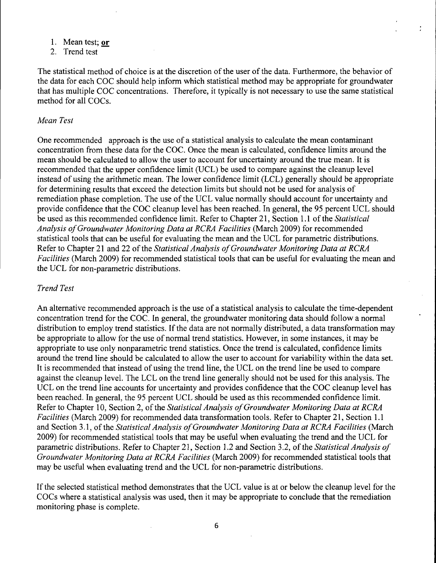- 1. Mean test; or
- 2. Trend test

The statistical method of choice is at the discretion of the user of the data. Furthermore, the behavior of the data for each COC should help inform which statistical method may be appropriate for groundwater that has multiple COC concentrations. Therefore, it typically is not necessary to use the same statistical method for all COCs.

#### *Mean Test*

One recommended approach is the use of a statistical analysis to calculate the mean contaminant concentration from these data for the COC. Once the mean is calculated, confidence limits around the mean should be calculated to allow the user to account for uncertainty around the true mean. It is recommended that the upper confidence limit (UCL) be used to compare against the cleanup level instead of using the arithmetic mean. The lower confidence limit (LCL) generally should be appropriate for determining results that exceed the detection limits but should not be used for analysis of remediation phase completion. The use of the UCL value normally should account for uncertainty and provide confidence that the COC cleanup level has been reached. In general, the 95 percent UCL should be used as this recommended confidence limit. Refer to Chapter 21, Section l.I of the Statistical Analysis of Groundwater Monitoring Data at RCRA Facilities (March 2009) for recommended statistical tools that can be useful for evaluating the mean and the UCL for parametric distributions. Refer to Chapter 21 and 22 of the Statistical Analysis of Groundwater Monitoring Data at RCRA Facilities (March 2009) for recommended statistical tools that can be useful for evaluating the mean and the UCL for non-parametric distributions.

#### *Trend Test*

An alternative recommended approach is the use of a statistical analysis to calculate the time-dependent concentration trend for the COC. In general, the groundwater monitoring data should follow a normal distribution to employ trend statistics. If the data are not normally distributed, a data transformation may be appropriate to allow for the use of normal trend statistics. However, in some instances, it may be appropriate to use only nonparametric trend statistics. Once the trend is calculated, confidence limits around the trend line should be calculated to allow the user to account for variability within the data set. It is recommended that instead of using the trend line, the UCL on the trend line be used to compare against the cleanup level. The LCL on the trend line generally should not be used for this analysis. The UCL on the trend line accounts for uncertainty and provides confidence that the COC cleanup level has been reached. In general, the 95 percent UCL should be used as this recommended confidence limit. Refer to Chapter 10, Section 2, of the Statistical Analysis of Groundwater Monitoring Data at RCRA Facilities (March 2009) for recommended data transformation tools. Refer to Chapter 21, Section I.I and Section 3.1, of the Statistical Analysis of Groundwater Monitoring Data at RCRA Facilities (March 2009) for recommended statistical tools that may be useful when evaluating the trend and the UCL for parametric distributions. Refer to Chapter 21, Section 1.2 and Section 3.2, of the Statistical Analysis of Groundwater Monitoring Data at RCRA Facilities (March 2009) for recommended statistical tools that may be useful when evaluating trend and the UCL for non-parametric distributions.

If the selected statistical method demonstrates that the UCL value is at or below the cleanup level for the COCs where a statistical analysis was used, then it may be appropriate to conclude that the remediation monitoring phase is complete.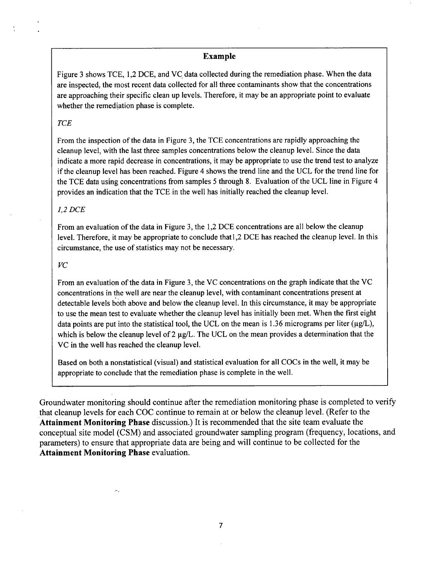#### **Example**

Figure 3 shows TCE, 1,2 DCE, and VC data collected during the remediation phase. When the data are inspected, the most recent data collected for all three contaminants show that the concentrations are approaching their specific clean up levels. Therefore, it may be an appropriate point to evaluate whether the remediation phase is complete.

#### *TCE*

From the inspection of the data in Figure 3, the TCE concentrations are rapidly approaching the cleanup level, with the last three samples concentrations below the cleanup level. Since the data indicate a more rapid decrease in concentrations, it may be appropriate to use the trend test to analyze if the cleanup level has been reached. Figure 4 shows the trend line and the UCL for the trend line for the TCE data using concentrations from samples 5 through 8. Evaluation of the UCL line in Figure 4 provides an indication that the TCE in the well has initially reached the cleanup level.

#### *1,2 DCE*

From an evaluation of the data in Figure 3, the 1,2 DCE concentrations are all below the cleanup level. Therefore, it may be appropriate to conclude thatl,2 DCE has reached the cleanup level. In this circumstance, the use of statistics may not be necessary.

#### *VC*

 $\sim$ 

From an evaluation of the data in Figure 3, the VC concentrations on the graph indicate that the VC concentrations in the well are near the cleanup level, with contaminant concentrations present at detectable levels both above and below the cleanup level. In this circumstance, it may be appropriate to use the mean test to evaluate whether the cleanup level has initially been met. When the first eight data points are put into the statistical tool, the UCL on the mean is 1.36 micrograms per liter ( $\mu$ g/L), which is below the cleanup level of 2  $\mu$ g/L. The UCL on the mean provides a determination that the VC in the well has reached the cleanup level.

Based on both a nonstatistical (visual) and statistical evaluation for all COCs in the well, it may be appropriate to conclude that the remediation phase is complete in the well.

Groundwater monitoring should continue after the remediation monitoring phase is completed to verify that cleanup levels for each COC continue to remain at or below the cleanup level. (Refer to the Attainment Monitoring Phase discussion.) It is recommended that the site team evaluate the conceptual site model (CSM) and associated groundwater sampling program (frequency, locations, and parameters) to ensure that appropriate data are being and will continue to be collected for the Attainment Monitoring Phase evaluation.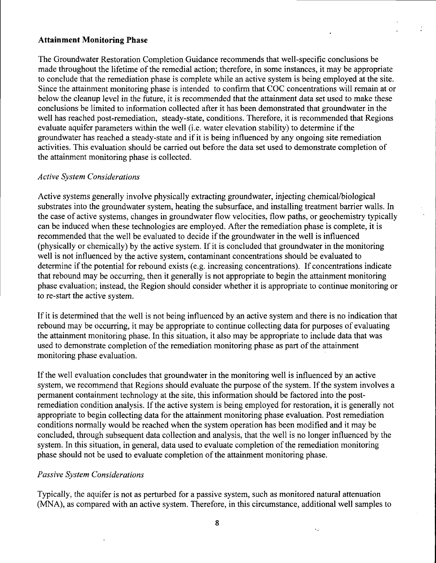#### **Attainment Monitoring Phase**

The Groundwater Restoration Completion Guidance recommends that well-specific conclusions be made throughout the lifetime of the remedial action; therefore, in some instances, it may be appropriate to conclude that the remediation phase is complete while an active system is being employed at the site. Since the attainment monitoring phase is intended to confirm that COG concentrations will remain at or below the cleanup level in the future, it is recommended that the attainment data set used to make these conclusions be limited to information collected after it has been demonstrated that groundwater in the well has reached post-remediation, steady-state, conditions. Therefore, it is recommended that Regions evaluate aquifer parameters within the well (i.e. water elevation stability) to determine if the groundwater has reached a steady-state and if it is being influenced by any ongoing site remediation activities. This evaluation should be carried out before the data set used to demonstrate completion of the attainment monitoring phase is collected.

#### *Active System Considerations*

Active systems generally involve physically extracting groundwater, injecting chemical/biological substrates into the groundwater system, heating the subsurface, and installing treatment barrier walls. In the case of active systems, changes in groundwater flow velocities, flow paths, or geochemistry typically can be induced when these technologies are employed. After the remediation phase is complete, it is recommended that the well be evaluated to decide if the groundwater in the well is influenced (physically or chemically) by the active system. If it is concluded that groundwater in the monitoring well is not influenced by the active system, contaminant concentrations should be evaluated to determine if the potential for rebound exists (e.g. inereasing concentrations). If concentrations indicate that rebound may be occurring, then it generally is not appropriate to begin the attainment monitoring phase evaluation; instead, the Region should consider whether it is appropriate to continue monitoring or to re-start the active system.

If it is determined that the well is not being influenced by an active system and there is no indication that rebound may be occurring, it may be appropriate to continue collecting data for purposes of evaluating the attainment monitoring phase. In this situation, it also may be appropriate to include data that was used to demonstrate completion of the remediation monitoring phase as part of the attainment monitoring phase evaluation.

If the well evaluation concludes that groundwater in the monitoring well is influenced by an active system, we recommend that Regions should evaluate the purpose of the system. If the system involves a permanent containment technology at the site, this information should be factored into the postremediation condition analysis. If the active system is being employed for restoration, it is generally not appropriate to begin collecting data for the attainment monitoring phase evaluation. Post remediation conditions normally would be reached when the system operation has been modified and it may be concluded, through subsequent data collection and analysis, that the well is no longer influenced by the system. In this situation, in general, data used to evaluate completion of the remediation monitoring phase should not be used to evaluate completion of the attainment monitoring phase.

#### *Passive System Considerations*

Typically, the aquifer is not as perturbed for a passive system, such as monitored natural attenuation (MNA), as compared with an active system. Therefore, in this circumstance, additional well samples to

8

k.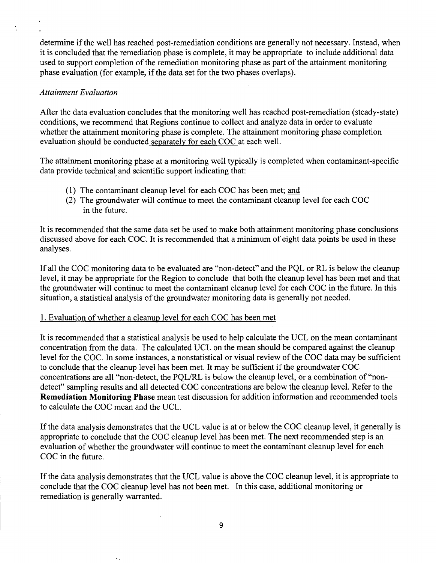determine if the well has reached post-remediation conditions are generally not necessary. Instead, when it is concluded that the remediation phase is complete, it may be appropriate to include additional data used to support completion of the remediation monitoring phase as part of the attainment monitoring phase evaluation (for example, if the data set for the two phases overlaps).

## *Attainment Evaluation*

After the data evaluation concludes that the monitoring well has reached post-remediation (steady-state) conditions, we recommend that Regions continue to collect and analyze data in order to evaluate whether the attainment monitoring phase is complete. The attainment monitoring phase completion evaluation should be conducted separatelv for each COC at each well.

The attainment monitoring phase at a monitoring well typically is completed when contaminant-specific data provide technical and scientific support indicating that:

- (1) The contaminant cleanup level for each COC has been met; and
- (2) The groundwater will continue to meet the contaminant cleanup level for each COC in the future.

It is recommended that the same data set be used to make both attainment monitoring phase conclusions discussed above for each COC. It is recommended that a minimum of eight data points be used in these analyses.

If all the COC monitoring data to be evaluated are "non-detect" and the PQL or RL is below the cleanup level, it may be appropriate for the Region to conclude that both the cleanup level has been met and that the groundwater will continue to meet the contaminant cleanup level for each COC in the future. In this situation, a statistical analysis of the groundwater monitoring data is generally not needed.

# 1. Evaluation of whether a cleanup level for each COC has been met

 $\sim$  .

It is recommended that a statistical analysis be used to help calculate the UCL on the mean contaminant concentration from the data. The calculated UCL on the mean should be compared against the cleanup level for the COC. In some instances, a nonstatistical or visual review of the COC data may be sufficient to conclude that the cleanup level has been met. It may be sufficient if the groundwater COC concentrations are all "non-detect, the PQL/RL is below the cleanup level, or a combination of "nondetect" sampling results and all detected COC concentrations are below the cleanup level. Refer to the Remediation Monitoring Phase mean test discussion for addition information and recommended tools to calculate the COC mean and the UCL.

If the data analysis demonstrates that the UCL value is at or below the COC cleanup level, it generally is appropriate to conclude that the COC cleanup level has been met. The next recommended step is an evaluation of whether the groundwater will continue to meet the contaminant cleanup level for each COC in the future.

If the data analysis demonstrates that the UCL value is above the COC cleanup level, it is appropriate to conclude that the COC cleanup level has not been met. In this case, additional monitoring or remediation is generally warranted.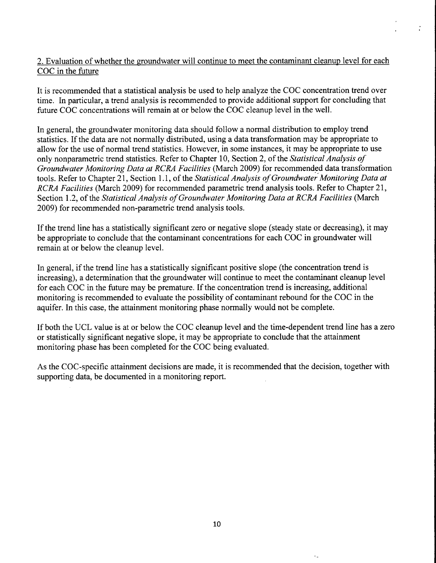# 2. Evaluation of whether the groundwater will continue to meet the contaminant cleanup level for each COC in the future

ż

It is recommended that a statistical analysis be used to help analyze the COC concentration trend over time. In particular, a trend analysis is recommended to provide additional support for concluding that future COC concentrations will remain at or below the COC cleanup level in the well.

In general, the groundwater monitoring data should follow a normal distribution to employ trend statistics. If the data are not normally distributed, using a data transformation may be appropriate to allow for the use of normal trend statistics. However, in some instances, it may be appropriate to use only nonparametric trend statistics. Refer to Chapter 10, Section 2, of the Statistical Analysis of Groundwater Monitoring Data at RCRA Facilities (March 2009) for recommended data transformation tools. Refer to Chapter 21, Section 1.1, of the Statistical Analysis of Groundwater Monitoring Data at RCRA Facilities (March 2009) for recommended parametric trend analysis tools. Refer to Chapter 21, Section 1.2, of the Statistical Analysis of Groundwater Monitoring Data at RCRA Facilities (March 2009) for recommended non-parametric trend analysis tools.

If the trend line has a statistically significant zero or negative slope (steady state or decreasing), it may be appropriate to conclude that the contaminant concentrations for each COC in groundwater will remain at or below the cleanup level.

In general, if the trend line has a statistically significant positive slope (the concentration trend is increasing), a determination that the groundwater will continue to meet the contaminant cleanup level for each COC in the future may be premature. If the concentration trend is increasing, additional monitoring is recommended to evaluate the possibility of contaminant rebound for the COC in the aquifer. In this case, the attainment monitoring phase normally would not be complete.

If both the UCL value is at or below the COC cleanup level and the time-dependent trend line has a zero or statistically significant negative slope, it may be appropriate to conclude that the attainment monitoring phase has been completed for the COC being evaluated.

As the COC-specific attainment decisions are made, it is recommended that the decision, together with supporting data, be documented in a monitoring report.

 $\epsilon_{\rm{ex}}$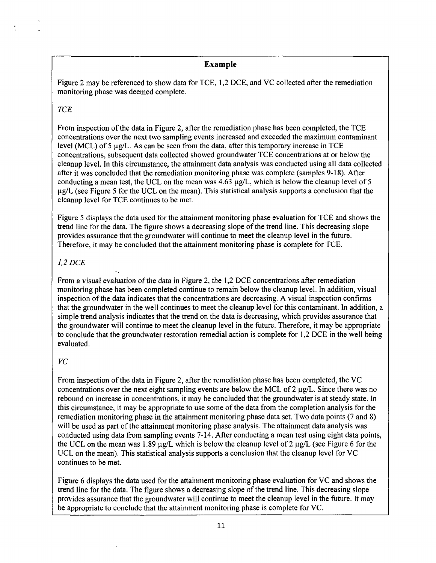# **Example**

Figure 2 may be referenced to show data for TCE, 1,2 DCE, and VC collected after the remediation monitoring phase was deemed complete.

# *TCE*

From inspection of the data in Figure 2, after the remediation phase has been completed, the TCE concentrations over the next two sampling events increased and exceeded the maximum contaminant level (MCL) of 5 µg/L. As can be seen from the data, after this temporary increase in TCE concentrations, subsequent data collected showed groundwater TCE concentrations at or below the cleanup level. In this circumstance, the attainment data analysis was conducted using all data collected after it was concluded that the remediation monitoring phase was complete (samples 9-18). After conducting a mean test, the UCL on the mean was  $4.63 \mu g/L$ , which is below the cleanup level of 5  $\mu$ g/L (see Figure 5 for the UCL on the mean). This statistical analysis supports a conclusion that the cleanup level for TCE continues to be met.

Figure 5 displays the data used for the attainment monitoring phase evaluation for TCE and shows the trend line for the data. The figure shows a decreasing slope of the trend line. This decreasing slope provides assurance that the groundwater will continue to meet the cleanup level in the future. Therefore, it may be concluded that the attainment monitoring phase is complete for TCE.

# *1,2 DCE*

From a visual evaluation of the data in Figure 2, the 1,2 DCE concentrations after remediation monitoring phase has been completed continue to remain below the cleanup level. In addition, visual inspection of the data indicates that the concentrations are decreasing. A visual inspection confirms that the groundwater in the well continues to meet the cleanup level for this contaminant. In addition, a simple trend analysis indicates that the trend on the data is decreasing, which provides assurance that the groundwater will continue to meet the cleanup level in the future. Therefore, it may be appropriate to conclude that the groundwater restoration remedial action is complete for 1,2 DCE in the well being evaluated.

# *VC*

From inspection of the data in Figure 2, after the remediation phase has been completed, the VC concentrations over the next eight sampling events are below the MCL of 2  $\mu$ g/L. Since there was no rebound on increase in concentrations, it may be concluded that the groundwater is at steady state. In this circumstance, it may be appropriate to use some of the data from the completion analysis for the remediation monitoring phase in the attainment monitoring phase data set. Two data points (7 and 8) will be used as part of the attainment monitoring phase analysis. The attainment data analysis was conducted using data from sampling events 7-14. After conducting a mean test using eight data points, the UCL on the mean was 1.89  $\mu$ g/L which is below the cleanup level of 2  $\mu$ g/L (see Figure 6 for the UCL on the mean). This statistical analysis supports a conclusion that the cleanup level for VC continues to be met.

Figure 6 displays the data used for the attainment monitoring phase evaluation for VC and shows the trend line for the data. The figure shows a decreasing slope of the trend line. This decreasing slope provides assurance that the groundwater will continue to meet the cleanup level in the future. It may be appropriate to conclude that the attainment monitoring phase is complete for VC.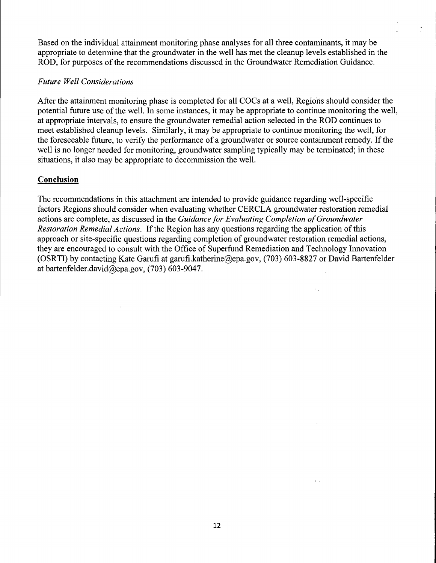Based on the individual attainment monitoring phase analyses for all three contaminants, it may be appropriate to determine that the groundwater in the well has met the cleanup levels established in the ROD, for purposes of the recommendations discussed in the Groundwater Remediation Guidance.

#### *Future Well Considerations*

After the attainment monitoring phase is completed for all COCs at a well. Regions should consider the potential future use of the well. In some instances, it may be appropriate to continue monitoring the well, at appropriate intervals, to ensure the groundwater remedial action selected in the ROD continues to meet established cleanup levels. Similarly, it may be appropriate to continue monitoring the well, for the foreseeable future, to verify the performance of a groundwater or source containment remedy. If the well is no longer needed for monitoring, groundwater sampling typically may be terminated; in these situations, it also may be appropriate to decommission the well.

# **Conclusion**

The recommendations in this attachment are intended to provide guidance regarding well-specific factors Regions should consider when evaluating whether CERCLA groundwater restoration remedial actions are complete, as discussed in the Guidance for Evaluating Completion of Groundwater Restoration Remedial Actions. If the Region has any questions regarding the application of this approach or site-specific questions regarding completion of groundwater restoration remedial actions, they are encouraged to consult with the Office of Superfimd Remediation and Technology Innovation (OSRTI) by contacting Kate Garufi at [garufi.katherine@epa.gov,](mailto:garufi.katherine@epa.gov) (703) 603-8827 or David Bartenfelder at [bartenfelder.david@epa.gov,](mailto:bartenfelder.david@epa.gov) (703) 603-9047.

 $\epsilon_{\rm m}$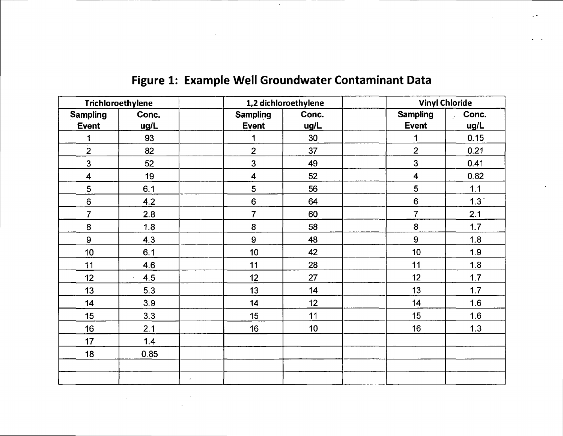| Trichloroethylene         |                             | 1,2 dichloroethylene    |       | <b>Vinyl Chloride</b>   |                  |
|---------------------------|-----------------------------|-------------------------|-------|-------------------------|------------------|
| Sampling                  | Conc.                       | <b>Sampling</b>         | Conc. | <b>Sampling</b>         | Conc.            |
| <b>Event</b>              | ug/L                        | <b>Event</b>            | ug/L  | <b>Event</b>            | ug/L             |
| 1                         | 93                          | 1                       | 30    | 1                       | 0.15             |
| $\overline{\overline{2}}$ | 82                          | $\overline{2}$          | 37    | $\overline{2}$          | 0.21             |
| $\overline{3}$            | 52                          | $\mathbf{3}$            | 49    | $\overline{3}$          | 0.41             |
| 4                         | 19                          | $\overline{\mathbf{4}}$ | 52    | $\overline{\mathbf{4}}$ | 0.82             |
| 5                         | 6.1                         | 5                       | 56    | 5                       | $1.1$            |
| $\bf 6$                   | 4.2                         | $\bf 6$                 | 64    | $6\phantom{a}$          | 1.3 <sup>°</sup> |
| $\overline{7}$            | 2.8                         | $\overline{7}$          | 60    | $\overline{7}$          | 2.1              |
| ${\bf 8}$                 | 1.8                         | 8                       | 58    | ${\bf 8}$               | 1.7              |
| $\boldsymbol{9}$          | 4.3                         | $\boldsymbol{9}$        | 48    | 9                       | 1.8              |
| 10 <sub>1</sub>           | 6.1                         | 10 <sub>1</sub>         | 42    | 10                      | 1.9              |
| 11                        | 4.6                         | 11                      | 28    | 11                      | 1.8              |
| 12                        | 4.5<br>$\ddot{\phantom{a}}$ | 12                      | 27    | 12                      | 1.7              |
| 13                        | 5.3                         | 13                      | 14    | 13                      | 1.7              |
| 14                        | 3.9                         | 14                      | 12    | 14                      | 1.6              |
| 15                        | 3.3                         | 15                      | 11    | 15                      | 1.6              |
| 16                        | 2.1                         | 16                      | 10    | 16                      | 1.3              |
| 17                        | 1.4                         |                         |       |                         |                  |
| 18                        | 0.85                        |                         |       |                         |                  |
|                           |                             |                         |       |                         |                  |
|                           |                             |                         |       |                         |                  |

# **Figure 1: Example Well Groundwater Contaminant Data**

 $\sim 10^7$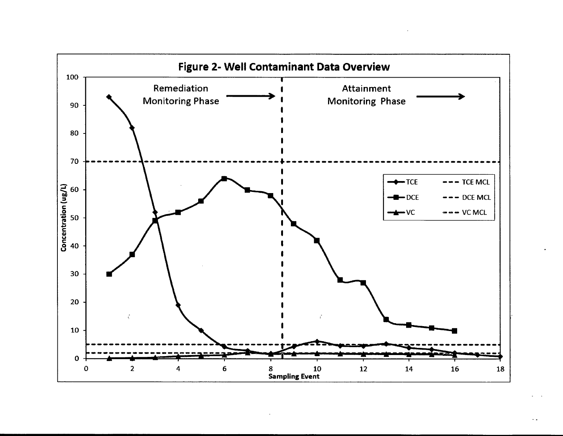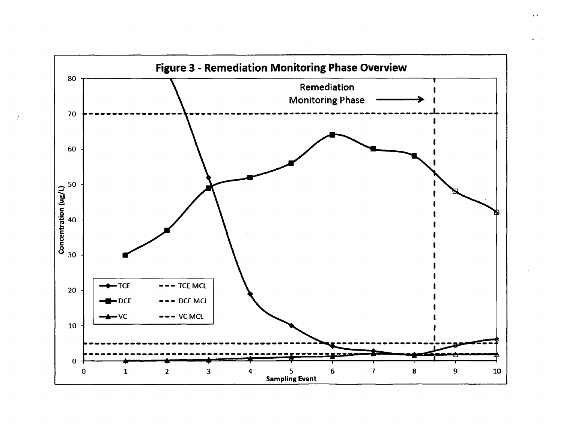![](_page_16_Figure_0.jpeg)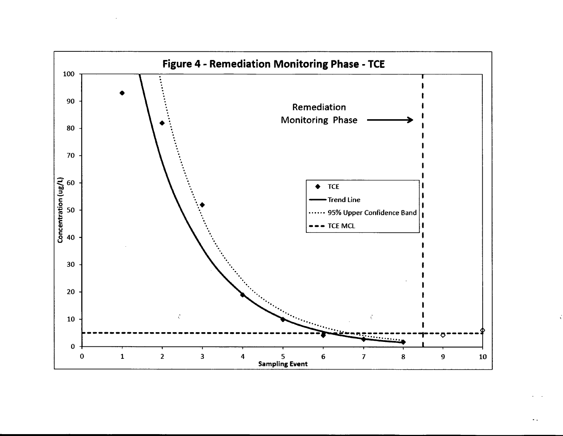![](_page_17_Figure_0.jpeg)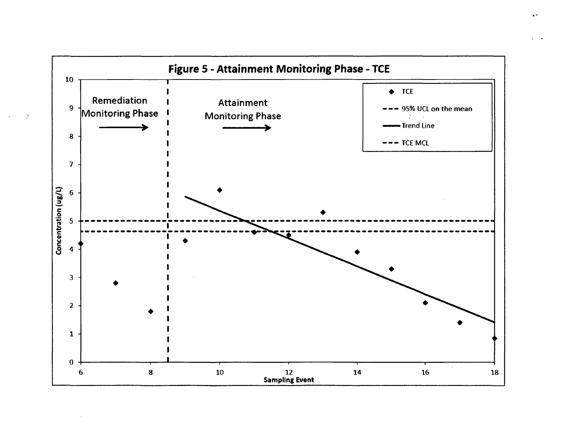![](_page_18_Figure_0.jpeg)

Þ